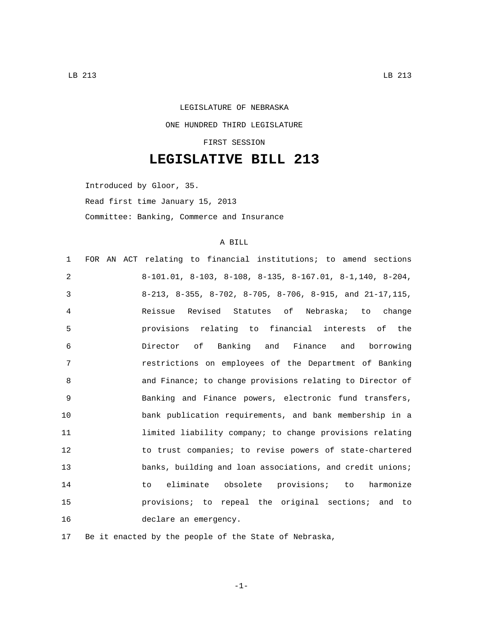## LEGISLATURE OF NEBRASKA ONE HUNDRED THIRD LEGISLATURE FIRST SESSION

## **LEGISLATIVE BILL 213**

Introduced by Gloor, 35. Read first time January 15, 2013 Committee: Banking, Commerce and Insurance

## A BILL

| $\mathbf{1}$ | FOR AN ACT relating to financial institutions; to amend sections              |
|--------------|-------------------------------------------------------------------------------|
| 2            | $8-101.01$ , $8-103$ , $8-108$ , $8-135$ , $8-167.01$ , $8-1,140$ , $8-204$ , |
| 3            | 8-213, 8-355, 8-702, 8-705, 8-706, 8-915, and $21-17,115$ ,                   |
| 4            | Reissue Revised Statutes of Nebraska; to change                               |
| 5            | provisions relating to financial interests of the                             |
| 6            | Director of Banking and Finance and borrowing                                 |
| 7            | restrictions on employees of the Department of Banking                        |
| 8            | and Finance; to change provisions relating to Director of                     |
| $\mathsf{Q}$ | Banking and Finance powers, electronic fund transfers,                        |
| 10           | bank publication requirements, and bank membership in a                       |
| 11           | limited liability company; to change provisions relating                      |
| 12           | to trust companies; to revise powers of state-chartered                       |
| 13           | banks, building and loan associations, and credit unions;                     |
| 14           | to eliminate obsolete provisions; to harmonize                                |
| 15           | provisions; to repeal the original sections; and to                           |
| 16           | declare an emergency.                                                         |

17 Be it enacted by the people of the State of Nebraska,

-1-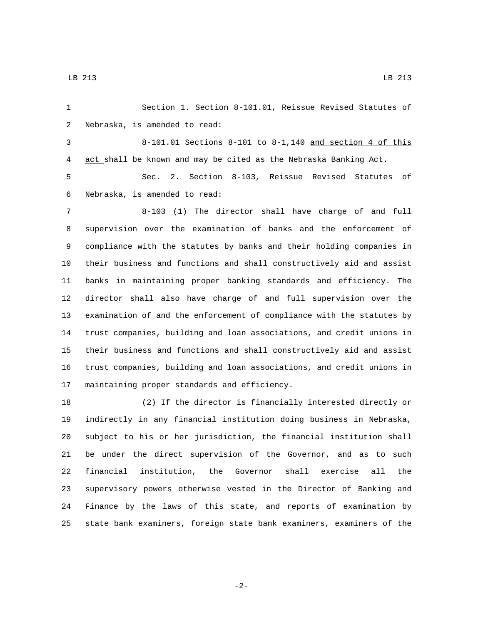Section 1. Section 8-101.01, Reissue Revised Statutes of 2 Nebraska, is amended to read: 8-101.01 Sections 8-101 to 8-1,140 and section 4 of this act shall be known and may be cited as the Nebraska Banking Act. Sec. 2. Section 8-103, Reissue Revised Statutes of 6 Nebraska, is amended to read: 8-103 (1) The director shall have charge of and full supervision over the examination of banks and the enforcement of compliance with the statutes by banks and their holding companies in their business and functions and shall constructively aid and assist banks in maintaining proper banking standards and efficiency. The director shall also have charge of and full supervision over the examination of and the enforcement of compliance with the statutes by trust companies, building and loan associations, and credit unions in their business and functions and shall constructively aid and assist trust companies, building and loan associations, and credit unions in 17 maintaining proper standards and efficiency. (2) If the director is financially interested directly or indirectly in any financial institution doing business in Nebraska, subject to his or her jurisdiction, the financial institution shall be under the direct supervision of the Governor, and as to such

 financial institution, the Governor shall exercise all the supervisory powers otherwise vested in the Director of Banking and Finance by the laws of this state, and reports of examination by state bank examiners, foreign state bank examiners, examiners of the

-2-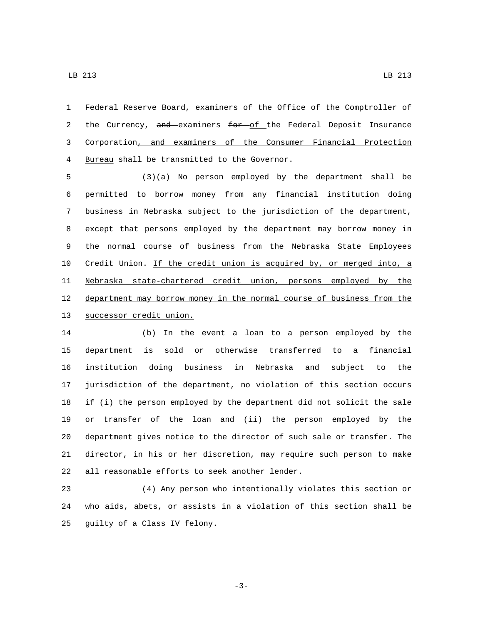Federal Reserve Board, examiners of the Office of the Comptroller of 2 the Currency, and examiners for of the Federal Deposit Insurance Corporation, and examiners of the Consumer Financial Protection 4 Bureau shall be transmitted to the Governor.

 (3)(a) No person employed by the department shall be permitted to borrow money from any financial institution doing business in Nebraska subject to the jurisdiction of the department, except that persons employed by the department may borrow money in the normal course of business from the Nebraska State Employees Credit Union. If the credit union is acquired by, or merged into, a Nebraska state-chartered credit union, persons employed by the department may borrow money in the normal course of business from the 13 successor credit union.

 (b) In the event a loan to a person employed by the department is sold or otherwise transferred to a financial institution doing business in Nebraska and subject to the jurisdiction of the department, no violation of this section occurs if (i) the person employed by the department did not solicit the sale or transfer of the loan and (ii) the person employed by the department gives notice to the director of such sale or transfer. The director, in his or her discretion, may require such person to make 22 all reasonable efforts to seek another lender.

 (4) Any person who intentionally violates this section or who aids, abets, or assists in a violation of this section shall be 25 guilty of a Class IV felony.

LB 213 LB  $\alpha$  LB  $\alpha$  LB  $\alpha$  LB  $\alpha$  LB  $\alpha$  LB  $\alpha$  LB  $\alpha$  LB  $\alpha$  LB  $\alpha$  LB  $\alpha$  LB  $\alpha$  LB  $\alpha$  LB  $\alpha$  LB  $\alpha$  LB  $\alpha$  LB  $\alpha$  LB  $\alpha$  LB  $\alpha$  LB  $\alpha$  LB  $\alpha$  LB  $\alpha$  LB  $\alpha$  LB  $\alpha$  LB  $\alpha$  LB  $\alpha$  LB  $\alpha$  LB  $\alpha$ 

-3-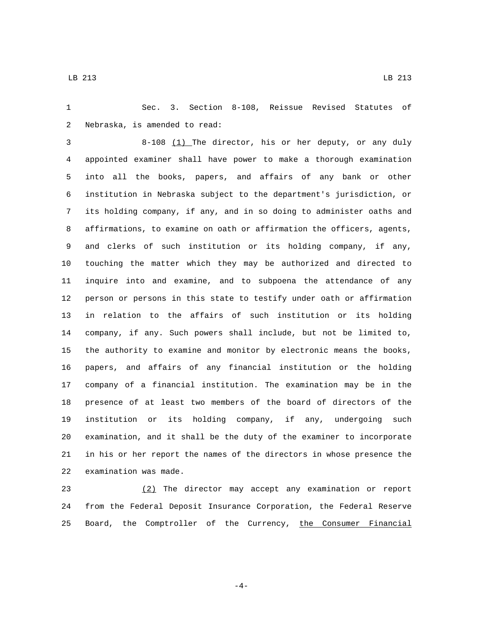Sec. 3. Section 8-108, Reissue Revised Statutes of 2 Nebraska, is amended to read:

 8-108 (1) The director, his or her deputy, or any duly appointed examiner shall have power to make a thorough examination into all the books, papers, and affairs of any bank or other institution in Nebraska subject to the department's jurisdiction, or its holding company, if any, and in so doing to administer oaths and affirmations, to examine on oath or affirmation the officers, agents, and clerks of such institution or its holding company, if any, touching the matter which they may be authorized and directed to inquire into and examine, and to subpoena the attendance of any person or persons in this state to testify under oath or affirmation in relation to the affairs of such institution or its holding company, if any. Such powers shall include, but not be limited to, the authority to examine and monitor by electronic means the books, papers, and affairs of any financial institution or the holding company of a financial institution. The examination may be in the presence of at least two members of the board of directors of the institution or its holding company, if any, undergoing such examination, and it shall be the duty of the examiner to incorporate in his or her report the names of the directors in whose presence the 22 examination was made.

 (2) The director may accept any examination or report from the Federal Deposit Insurance Corporation, the Federal Reserve 25 Board, the Comptroller of the Currency, the Consumer Financial

-4-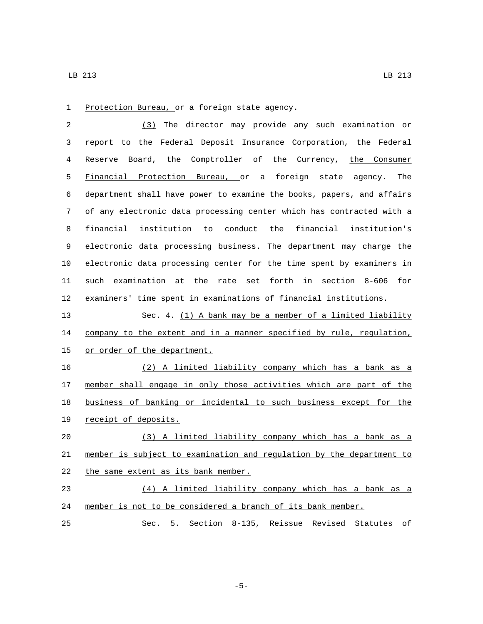1 Protection Bureau, or a foreign state agency.

 (3) The director may provide any such examination or report to the Federal Deposit Insurance Corporation, the Federal Reserve Board, the Comptroller of the Currency, the Consumer Financial Protection Bureau, or a foreign state agency. The department shall have power to examine the books, papers, and affairs of any electronic data processing center which has contracted with a financial institution to conduct the financial institution's electronic data processing business. The department may charge the electronic data processing center for the time spent by examiners in such examination at the rate set forth in section 8-606 for examiners' time spent in examinations of financial institutions.

 Sec. 4. (1) A bank may be a member of a limited liability 14 company to the extent and in a manner specified by rule, regulation, 15 or order of the department.

 (2) A limited liability company which has a bank as a 17 member shall engage in only those activities which are part of the business of banking or incidental to such business except for the 19 receipt of deposits.

 (3) A limited liability company which has a bank as a member is subject to examination and regulation by the department to 22 the same extent as its bank member.

 (4) A limited liability company which has a bank as a member is not to be considered a branch of its bank member.

Sec. 5. Section 8-135, Reissue Revised Statutes of

-5-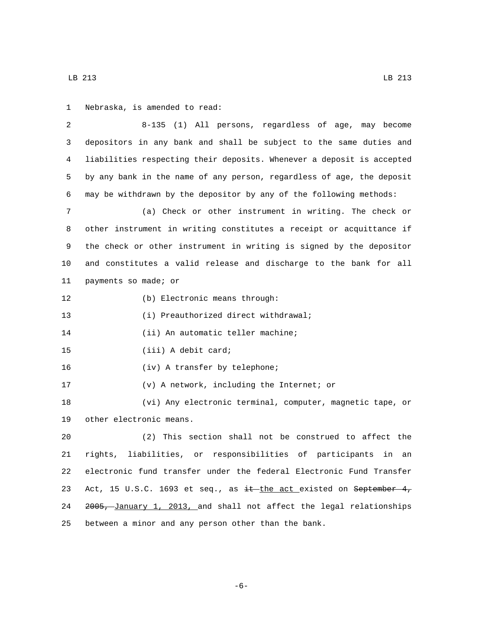LB 213 LB  $\alpha$  LB 213

1 Nebraska, is amended to read:

2 8-135 (1) All persons, regardless of age, may become 3 depositors in any bank and shall be subject to the same duties and 4 liabilities respecting their deposits. Whenever a deposit is accepted 5 by any bank in the name of any person, regardless of age, the deposit 6 may be withdrawn by the depositor by any of the following methods: 7 (a) Check or other instrument in writing. The check or 8 other instrument in writing constitutes a receipt or acquittance if 9 the check or other instrument in writing is signed by the depositor 10 and constitutes a valid release and discharge to the bank for all 11 payments so made; or (b) Electronic means through:12 13 (i) Preauthorized direct withdrawal; 14 (ii) An automatic teller machine; 15 (iii) A debit card; 16 (iv) A transfer by telephone;

17 (v) A network, including the Internet; or

18 (vi) Any electronic terminal, computer, magnetic tape, or 19 other electronic means.

 (2) This section shall not be construed to affect the rights, liabilities, or responsibilities of participants in an electronic fund transfer under the federal Electronic Fund Transfer 23 Act, 15 U.S.C. 1693 et seq., as  $\frac{1}{1}$ the act existed on September 4, 2005, January 1, 2013, and shall not affect the legal relationships between a minor and any person other than the bank.

-6-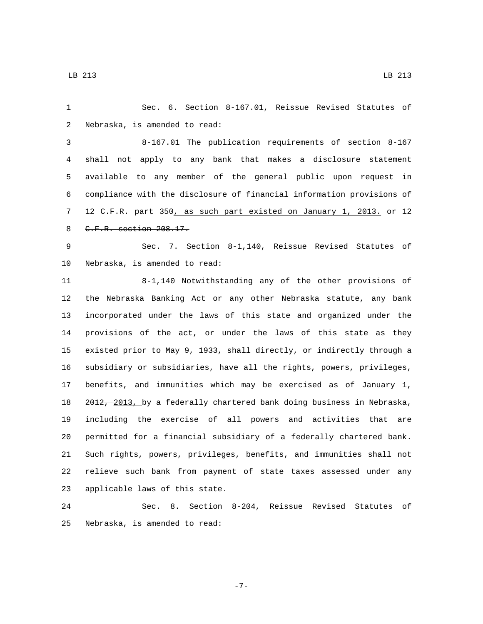Sec. 6. Section 8-167.01, Reissue Revised Statutes of 2 Nebraska, is amended to read: 8-167.01 The publication requirements of section 8-167 shall not apply to any bank that makes a disclosure statement available to any member of the general public upon request in compliance with the disclosure of financial information provisions of 7 12 C.F.R. part 350, as such part existed on January 1, 2013. or 12 8 C.F.R. section 208.17.

 Sec. 7. Section 8-1,140, Reissue Revised Statutes of 10 Nebraska, is amended to read:

 8-1,140 Notwithstanding any of the other provisions of the Nebraska Banking Act or any other Nebraska statute, any bank incorporated under the laws of this state and organized under the provisions of the act, or under the laws of this state as they existed prior to May 9, 1933, shall directly, or indirectly through a subsidiary or subsidiaries, have all the rights, powers, privileges, benefits, and immunities which may be exercised as of January 1, 2012, 2013, by a federally chartered bank doing business in Nebraska, including the exercise of all powers and activities that are permitted for a financial subsidiary of a federally chartered bank. Such rights, powers, privileges, benefits, and immunities shall not relieve such bank from payment of state taxes assessed under any 23 applicable laws of this state.

 Sec. 8. Section 8-204, Reissue Revised Statutes of 25 Nebraska, is amended to read:

-7-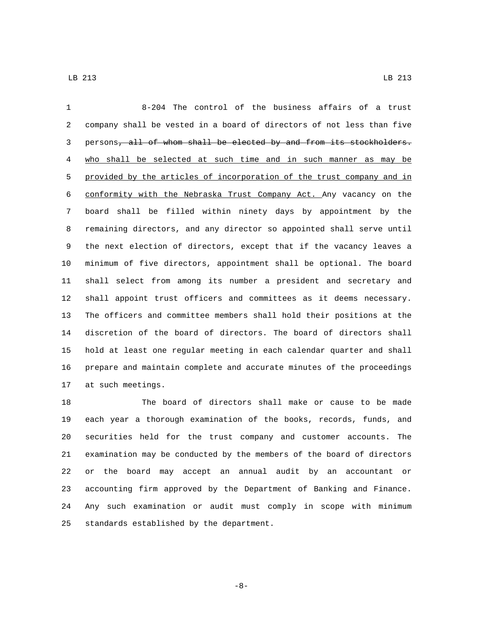| $\mathbf{1}$   | 8-204 The control of the business affairs of a trust                  |
|----------------|-----------------------------------------------------------------------|
| 2              | company shall be vested in a board of directors of not less than five |
| 3              | persons, all of whom shall be elected by and from its stockholders.   |
| 4              | who shall be selected at such time and in such manner as may be       |
| 5              | provided by the articles of incorporation of the trust company and in |
| 6              | conformity with the Nebraska Trust Company Act. Any vacancy on the    |
| 7              | board shall be filled within ninety days by appointment by the        |
| 8              | remaining directors, and any director so appointed shall serve until  |
| $\overline{9}$ | the next election of directors, except that if the vacancy leaves a   |
| 10             | minimum of five directors, appointment shall be optional. The board   |
| 11             | shall select from among its number a president and secretary and      |
| 12             | shall appoint trust officers and committees as it deems necessary.    |
| 13             | The officers and committee members shall hold their positions at the  |
| 14             | discretion of the board of directors. The board of directors shall    |
| 15             | hold at least one regular meeting in each calendar quarter and shall  |
| 16             | prepare and maintain complete and accurate minutes of the proceedings |
| 17             | at such meetings.                                                     |

 The board of directors shall make or cause to be made each year a thorough examination of the books, records, funds, and securities held for the trust company and customer accounts. The examination may be conducted by the members of the board of directors or the board may accept an annual audit by an accountant or accounting firm approved by the Department of Banking and Finance. Any such examination or audit must comply in scope with minimum 25 standards established by the department.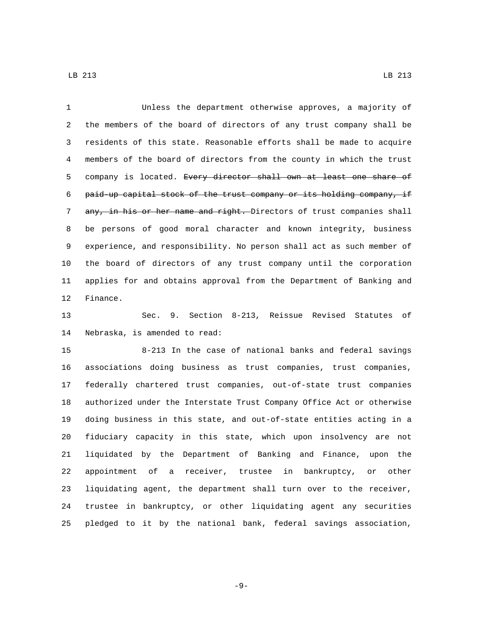Unless the department otherwise approves, a majority of the members of the board of directors of any trust company shall be residents of this state. Reasonable efforts shall be made to acquire members of the board of directors from the county in which the trust 5 company is located. Every director shall own at least one share of paid-up capital stock of the trust company or its holding company, if 7 any, in his or her name and right. Directors of trust companies shall be persons of good moral character and known integrity, business experience, and responsibility. No person shall act as such member of the board of directors of any trust company until the corporation applies for and obtains approval from the Department of Banking and 12 Finance.

 Sec. 9. Section 8-213, Reissue Revised Statutes of 14 Nebraska, is amended to read:

 8-213 In the case of national banks and federal savings associations doing business as trust companies, trust companies, federally chartered trust companies, out-of-state trust companies authorized under the Interstate Trust Company Office Act or otherwise doing business in this state, and out-of-state entities acting in a fiduciary capacity in this state, which upon insolvency are not liquidated by the Department of Banking and Finance, upon the appointment of a receiver, trustee in bankruptcy, or other liquidating agent, the department shall turn over to the receiver, trustee in bankruptcy, or other liquidating agent any securities pledged to it by the national bank, federal savings association,

-9-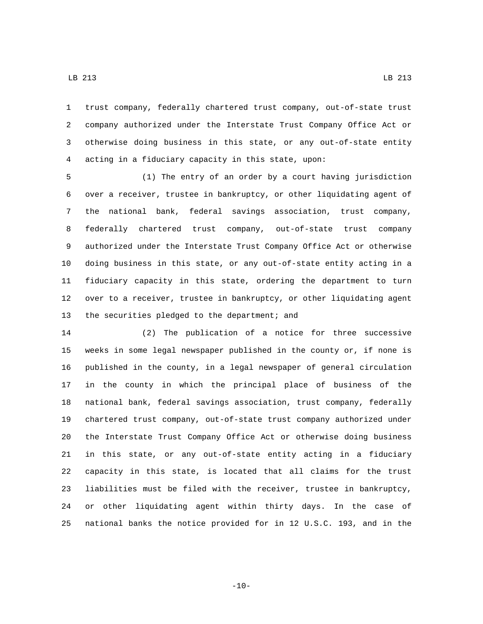trust company, federally chartered trust company, out-of-state trust company authorized under the Interstate Trust Company Office Act or otherwise doing business in this state, or any out-of-state entity

acting in a fiduciary capacity in this state, upon:

 (1) The entry of an order by a court having jurisdiction over a receiver, trustee in bankruptcy, or other liquidating agent of the national bank, federal savings association, trust company, federally chartered trust company, out-of-state trust company authorized under the Interstate Trust Company Office Act or otherwise doing business in this state, or any out-of-state entity acting in a fiduciary capacity in this state, ordering the department to turn over to a receiver, trustee in bankruptcy, or other liquidating agent 13 the securities pledged to the department; and

 (2) The publication of a notice for three successive weeks in some legal newspaper published in the county or, if none is published in the county, in a legal newspaper of general circulation in the county in which the principal place of business of the national bank, federal savings association, trust company, federally chartered trust company, out-of-state trust company authorized under the Interstate Trust Company Office Act or otherwise doing business in this state, or any out-of-state entity acting in a fiduciary capacity in this state, is located that all claims for the trust liabilities must be filed with the receiver, trustee in bankruptcy, or other liquidating agent within thirty days. In the case of national banks the notice provided for in 12 U.S.C. 193, and in the

 $-10-$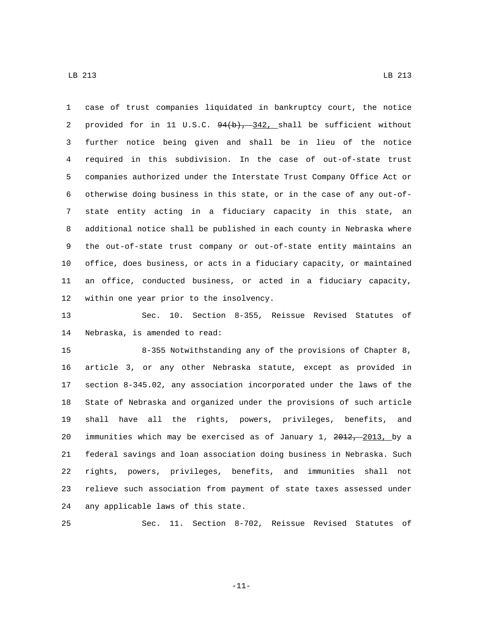case of trust companies liquidated in bankruptcy court, the notice 2 provided for in 11 U.S.C.  $94(b)$ ,  $342$ , shall be sufficient without further notice being given and shall be in lieu of the notice required in this subdivision. In the case of out-of-state trust companies authorized under the Interstate Trust Company Office Act or otherwise doing business in this state, or in the case of any out-of- state entity acting in a fiduciary capacity in this state, an additional notice shall be published in each county in Nebraska where the out-of-state trust company or out-of-state entity maintains an office, does business, or acts in a fiduciary capacity, or maintained an office, conducted business, or acted in a fiduciary capacity, 12 within one year prior to the insolvency.

 Sec. 10. Section 8-355, Reissue Revised Statutes of 14 Nebraska, is amended to read:

 8-355 Notwithstanding any of the provisions of Chapter 8, article 3, or any other Nebraska statute, except as provided in section 8-345.02, any association incorporated under the laws of the State of Nebraska and organized under the provisions of such article shall have all the rights, powers, privileges, benefits, and 20 immunities which may be exercised as of January 1, 2012, 2013, by a federal savings and loan association doing business in Nebraska. Such rights, powers, privileges, benefits, and immunities shall not relieve such association from payment of state taxes assessed under 24 any applicable laws of this state.

Sec. 11. Section 8-702, Reissue Revised Statutes of

-11-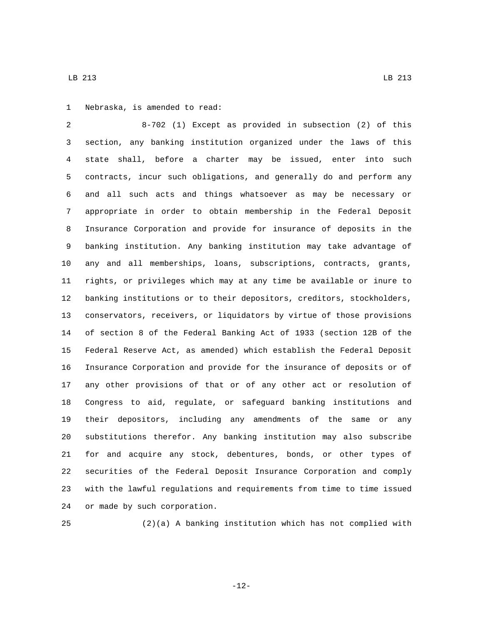1 Nebraska, is amended to read:

 8-702 (1) Except as provided in subsection (2) of this section, any banking institution organized under the laws of this state shall, before a charter may be issued, enter into such contracts, incur such obligations, and generally do and perform any and all such acts and things whatsoever as may be necessary or appropriate in order to obtain membership in the Federal Deposit Insurance Corporation and provide for insurance of deposits in the banking institution. Any banking institution may take advantage of any and all memberships, loans, subscriptions, contracts, grants, rights, or privileges which may at any time be available or inure to banking institutions or to their depositors, creditors, stockholders, conservators, receivers, or liquidators by virtue of those provisions of section 8 of the Federal Banking Act of 1933 (section 12B of the Federal Reserve Act, as amended) which establish the Federal Deposit Insurance Corporation and provide for the insurance of deposits or of any other provisions of that or of any other act or resolution of Congress to aid, regulate, or safeguard banking institutions and their depositors, including any amendments of the same or any substitutions therefor. Any banking institution may also subscribe for and acquire any stock, debentures, bonds, or other types of securities of the Federal Deposit Insurance Corporation and comply with the lawful regulations and requirements from time to time issued 24 or made by such corporation.

(2)(a) A banking institution which has not complied with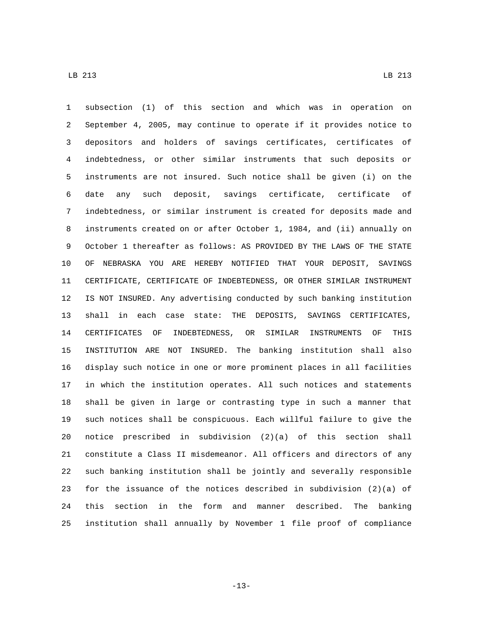subsection (1) of this section and which was in operation on September 4, 2005, may continue to operate if it provides notice to depositors and holders of savings certificates, certificates of indebtedness, or other similar instruments that such deposits or instruments are not insured. Such notice shall be given (i) on the date any such deposit, savings certificate, certificate of indebtedness, or similar instrument is created for deposits made and instruments created on or after October 1, 1984, and (ii) annually on October 1 thereafter as follows: AS PROVIDED BY THE LAWS OF THE STATE OF NEBRASKA YOU ARE HEREBY NOTIFIED THAT YOUR DEPOSIT, SAVINGS CERTIFICATE, CERTIFICATE OF INDEBTEDNESS, OR OTHER SIMILAR INSTRUMENT IS NOT INSURED. Any advertising conducted by such banking institution shall in each case state: THE DEPOSITS, SAVINGS CERTIFICATES, CERTIFICATES OF INDEBTEDNESS, OR SIMILAR INSTRUMENTS OF THIS INSTITUTION ARE NOT INSURED. The banking institution shall also display such notice in one or more prominent places in all facilities in which the institution operates. All such notices and statements shall be given in large or contrasting type in such a manner that such notices shall be conspicuous. Each willful failure to give the notice prescribed in subdivision (2)(a) of this section shall constitute a Class II misdemeanor. All officers and directors of any such banking institution shall be jointly and severally responsible for the issuance of the notices described in subdivision (2)(a) of this section in the form and manner described. The banking institution shall annually by November 1 file proof of compliance

-13-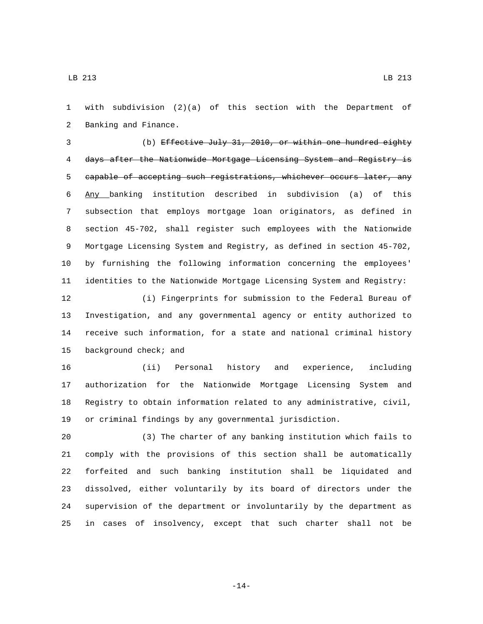with subdivision (2)(a) of this section with the Department of 2 Banking and Finance.

 (b) Effective July 31, 2010, or within one hundred eighty days after the Nationwide Mortgage Licensing System and Registry is capable of accepting such registrations, whichever occurs later, any Any banking institution described in subdivision (a) of this subsection that employs mortgage loan originators, as defined in section 45-702, shall register such employees with the Nationwide Mortgage Licensing System and Registry, as defined in section 45-702, by furnishing the following information concerning the employees' identities to the Nationwide Mortgage Licensing System and Registry:

 (i) Fingerprints for submission to the Federal Bureau of Investigation, and any governmental agency or entity authorized to receive such information, for a state and national criminal history 15 background check; and

 (ii) Personal history and experience, including authorization for the Nationwide Mortgage Licensing System and Registry to obtain information related to any administrative, civil, or criminal findings by any governmental jurisdiction.

 (3) The charter of any banking institution which fails to comply with the provisions of this section shall be automatically forfeited and such banking institution shall be liquidated and dissolved, either voluntarily by its board of directors under the supervision of the department or involuntarily by the department as in cases of insolvency, except that such charter shall not be

-14-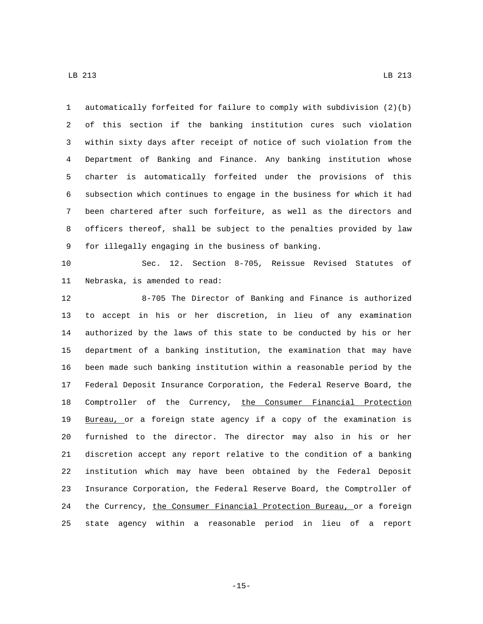automatically forfeited for failure to comply with subdivision (2)(b) of this section if the banking institution cures such violation within sixty days after receipt of notice of such violation from the Department of Banking and Finance. Any banking institution whose charter is automatically forfeited under the provisions of this subsection which continues to engage in the business for which it had been chartered after such forfeiture, as well as the directors and officers thereof, shall be subject to the penalties provided by law 9 for illegally engaging in the business of banking.

 Sec. 12. Section 8-705, Reissue Revised Statutes of 11 Nebraska, is amended to read:

 8-705 The Director of Banking and Finance is authorized to accept in his or her discretion, in lieu of any examination authorized by the laws of this state to be conducted by his or her department of a banking institution, the examination that may have been made such banking institution within a reasonable period by the Federal Deposit Insurance Corporation, the Federal Reserve Board, the Comptroller of the Currency, the Consumer Financial Protection Bureau, or a foreign state agency if a copy of the examination is furnished to the director. The director may also in his or her discretion accept any report relative to the condition of a banking institution which may have been obtained by the Federal Deposit Insurance Corporation, the Federal Reserve Board, the Comptroller of 24 the Currency, the Consumer Financial Protection Bureau, or a foreign state agency within a reasonable period in lieu of a report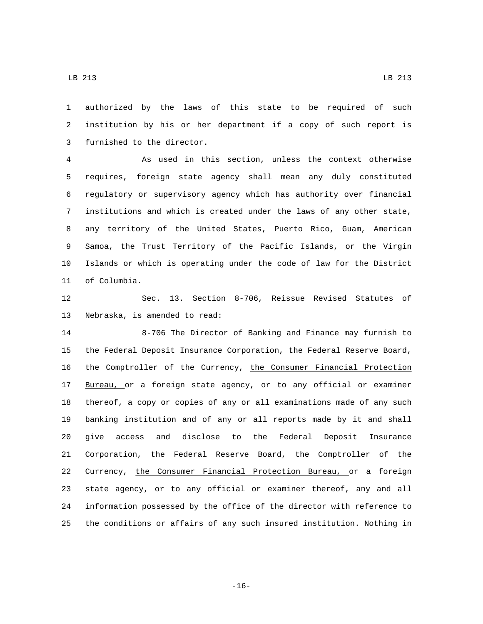authorized by the laws of this state to be required of such institution by his or her department if a copy of such report is 3 furnished to the director.

 As used in this section, unless the context otherwise requires, foreign state agency shall mean any duly constituted regulatory or supervisory agency which has authority over financial institutions and which is created under the laws of any other state, any territory of the United States, Puerto Rico, Guam, American Samoa, the Trust Territory of the Pacific Islands, or the Virgin Islands or which is operating under the code of law for the District 11 of Columbia.

 Sec. 13. Section 8-706, Reissue Revised Statutes of 13 Nebraska, is amended to read:

 8-706 The Director of Banking and Finance may furnish to the Federal Deposit Insurance Corporation, the Federal Reserve Board, the Comptroller of the Currency, the Consumer Financial Protection 17 Bureau, or a foreign state agency, or to any official or examiner thereof, a copy or copies of any or all examinations made of any such banking institution and of any or all reports made by it and shall give access and disclose to the Federal Deposit Insurance Corporation, the Federal Reserve Board, the Comptroller of the Currency, the Consumer Financial Protection Bureau, or a foreign state agency, or to any official or examiner thereof, any and all information possessed by the office of the director with reference to the conditions or affairs of any such insured institution. Nothing in

-16-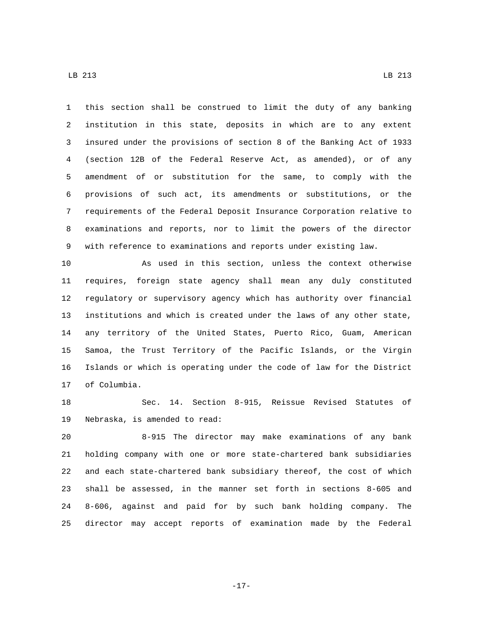this section shall be construed to limit the duty of any banking institution in this state, deposits in which are to any extent insured under the provisions of section 8 of the Banking Act of 1933 (section 12B of the Federal Reserve Act, as amended), or of any amendment of or substitution for the same, to comply with the

 provisions of such act, its amendments or substitutions, or the requirements of the Federal Deposit Insurance Corporation relative to examinations and reports, nor to limit the powers of the director with reference to examinations and reports under existing law.

 As used in this section, unless the context otherwise requires, foreign state agency shall mean any duly constituted regulatory or supervisory agency which has authority over financial institutions and which is created under the laws of any other state, any territory of the United States, Puerto Rico, Guam, American Samoa, the Trust Territory of the Pacific Islands, or the Virgin Islands or which is operating under the code of law for the District 17 of Columbia.

 Sec. 14. Section 8-915, Reissue Revised Statutes of 19 Nebraska, is amended to read:

 8-915 The director may make examinations of any bank holding company with one or more state-chartered bank subsidiaries and each state-chartered bank subsidiary thereof, the cost of which shall be assessed, in the manner set forth in sections 8-605 and 8-606, against and paid for by such bank holding company. The director may accept reports of examination made by the Federal

-17-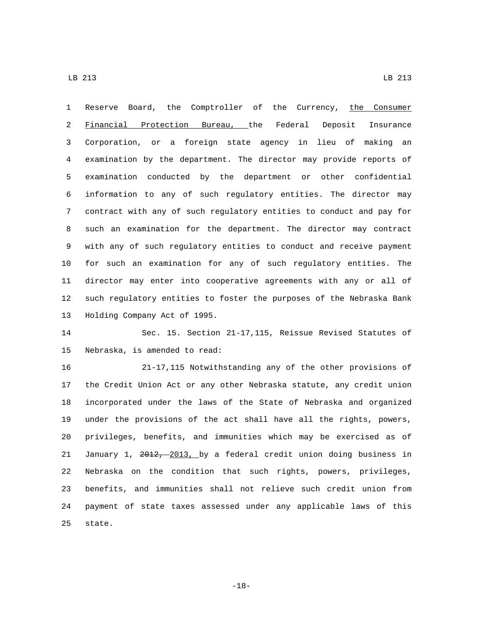Reserve Board, the Comptroller of the Currency, the Consumer Financial Protection Bureau, the Federal Deposit Insurance Corporation, or a foreign state agency in lieu of making an examination by the department. The director may provide reports of examination conducted by the department or other confidential information to any of such regulatory entities. The director may contract with any of such regulatory entities to conduct and pay for such an examination for the department. The director may contract with any of such regulatory entities to conduct and receive payment for such an examination for any of such regulatory entities. The director may enter into cooperative agreements with any or all of such regulatory entities to foster the purposes of the Nebraska Bank 13 Holding Company Act of 1995.

 Sec. 15. Section 21-17,115, Reissue Revised Statutes of 15 Nebraska, is amended to read:

 21-17,115 Notwithstanding any of the other provisions of the Credit Union Act or any other Nebraska statute, any credit union incorporated under the laws of the State of Nebraska and organized under the provisions of the act shall have all the rights, powers, privileges, benefits, and immunities which may be exercised as of January 1, 2012, 2013, by a federal credit union doing business in Nebraska on the condition that such rights, powers, privileges, benefits, and immunities shall not relieve such credit union from payment of state taxes assessed under any applicable laws of this 25 state.